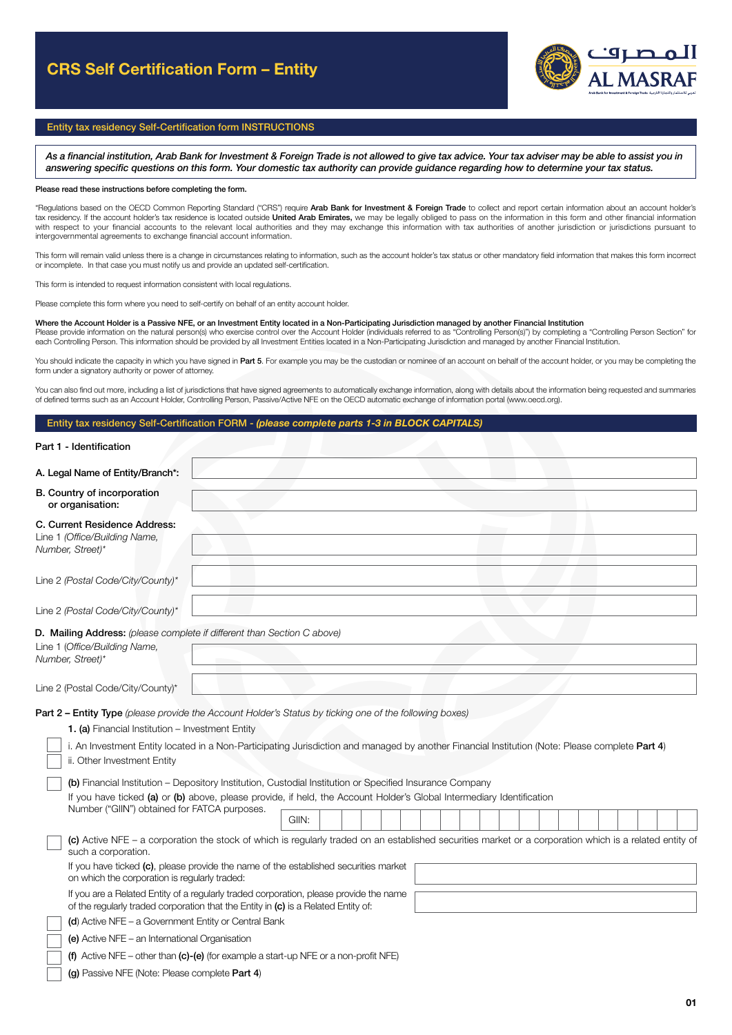# CRS Self Certification Form – Entity



# Entity tax residency Self-Certification form INSTRUCTIONS

*As a financial institution, Arab Bank for Investment & Foreign Trade is not allowed to give tax advice. Your tax adviser may be able to assist you in answering specific questions on this form. Your domestic tax authority can provide guidance regarding how to determine your tax status.* 

#### Please read these instructions before completing the form.

"Regulations based on the OECD Common Reporting Standard ("CRS") require Arab Bank for Investment & Foreign Trade to collect and report certain information about an account holder's tax residency. If the account holder's tax residence is located outside United Arab Emirates, we may be legally obliged to pass on the information in this form and other financial information with respect to your financial accounts to the relevant local authorities and they may exchange this information with tax authorities of another jurisdiction or jurisdictions pursuant to intergovernmental agreements to exchange financial account information.

This form will remain valid unless there is a change in circumstances relating to information, such as the account holder's tax status or other mandatory field information that makes this form incorrect or incomplete. In that case you must notify us and provide an updated self-certification.

This form is intended to request information consistent with local regulations.

Please complete this form where you need to self-certify on behalf of an entity account holder.

### Where the Account Holder is a Passive NFE, or an Investment Entity located in a Non-Participating Jurisdiction managed by another Financial Institution

Please provide information on the natural person(s) who exercise control over the Account Holder (individuals referred to as "Controlling Person(s)") by completing a "Controlling Person Section" for each Controlling Person. This information should be provided by all Investment Entities located in a Non-Participating Jurisdiction and managed by another Financial Institution.

You should indicate the capacity in which you have signed in Part 5. For example you may be the custodian or nominee of an account on behalf of the account holder, or you may be completing the form under a signatory authority or power of attorney.

You can also find out more, including a list of jurisdictions that have signed agreements to automatically exchange information, along with details about the information being requested and summaries of defined terms such as an Account Holder, Controlling Person, Passive/Active NFE on the OECD automatic exchange of information portal (www.oecd.org).

## Entity tax residency Self-Certification FORM - *(please complete parts 1-3 in BLOCK CAPITALS)*

#### Part 1 - Identification

| A. Legal Name of Entity/Branch*:                                                                                                                                                                                                                                                                                                              |       |  |  |  |  |  |  |  |
|-----------------------------------------------------------------------------------------------------------------------------------------------------------------------------------------------------------------------------------------------------------------------------------------------------------------------------------------------|-------|--|--|--|--|--|--|--|
| B. Country of incorporation<br>or organisation:                                                                                                                                                                                                                                                                                               |       |  |  |  |  |  |  |  |
| C. Current Residence Address:<br>Line 1 (Office/Building Name,<br>Number, Street)*                                                                                                                                                                                                                                                            |       |  |  |  |  |  |  |  |
| Line 2 (Postal Code/City/County)*                                                                                                                                                                                                                                                                                                             |       |  |  |  |  |  |  |  |
| Line 2 (Postal Code/City/County)*                                                                                                                                                                                                                                                                                                             |       |  |  |  |  |  |  |  |
| D. Mailing Address: (please complete if different than Section C above)<br>Line 1 (Office/Building Name,<br>Number, Street)*                                                                                                                                                                                                                  |       |  |  |  |  |  |  |  |
| Line 2 (Postal Code/City/County)*                                                                                                                                                                                                                                                                                                             |       |  |  |  |  |  |  |  |
| Part 2 - Entity Type (please provide the Account Holder's Status by ticking one of the following boxes)<br>1. (a) Financial Institution - Investment Entity<br>i. An Investment Entity located in a Non-Participating Jurisdiction and managed by another Financial Institution (Note: Please complete Part 4)<br>ii. Other Investment Entity |       |  |  |  |  |  |  |  |
| (b) Financial Institution – Depository Institution, Custodial Institution or Specified Insurance Company<br>If you have ticked (a) or (b) above, please provide, if held, the Account Holder's Global Intermediary Identification<br>Number ("GIIN") obtained for FATCA purposes.                                                             | GIIN: |  |  |  |  |  |  |  |
| (c) Active NFE - a corporation the stock of which is regularly traded on an established securities market or a corporation which is a related entity of<br>such a corporation.                                                                                                                                                                |       |  |  |  |  |  |  |  |
| If you have ticked (c), please provide the name of the established securities market<br>on which the corporation is regularly traded:                                                                                                                                                                                                         |       |  |  |  |  |  |  |  |
| If you are a Related Entity of a regularly traded corporation, please provide the name<br>of the regularly traded corporation that the Entity in (c) is a Related Entity of:                                                                                                                                                                  |       |  |  |  |  |  |  |  |
| (d) Active NFE – a Government Entity or Central Bank                                                                                                                                                                                                                                                                                          |       |  |  |  |  |  |  |  |
| (e) Active NFE - an International Organisation                                                                                                                                                                                                                                                                                                |       |  |  |  |  |  |  |  |
| (f) Active NFE – other than $(c)$ -(e) (for example a start-up NFE or a non-profit NFE)                                                                                                                                                                                                                                                       |       |  |  |  |  |  |  |  |
| (g) Passive NFE (Note: Please complete Part 4)                                                                                                                                                                                                                                                                                                |       |  |  |  |  |  |  |  |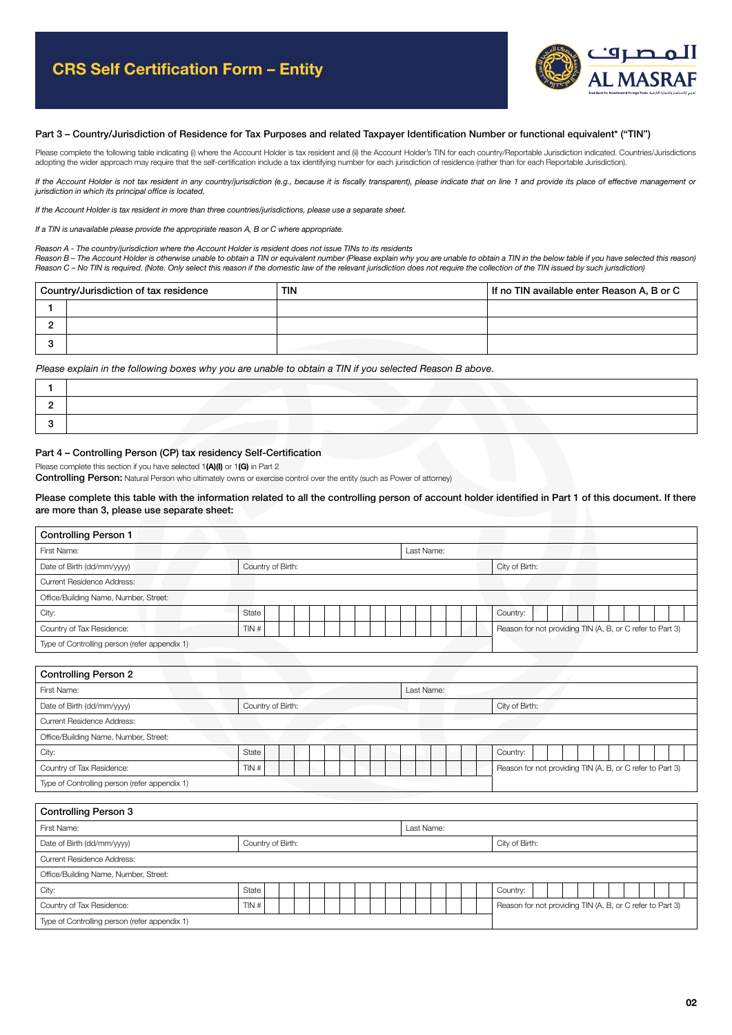

### Part 3 – Country/Jurisdiction of Residence for Tax Purposes and related Taxpayer Identification Number or functional equivalent\* ("TIN")

Please complete the following table indicating (i) where the Account Holder is tax resident and (ii) the Account Holder's TIN for each country/Reportable Jurisdiction indicated. Countries/Jurisdictions<br>adopting the wider a

*If the Account Holder is not tax resident in any country/jurisdiction (e.g., because it is fiscally transparent), please indicate that on line 1 and provide its place of effective management or jurisdiction in which its principal office is located.*

*If the Account Holder is tax resident in more than three countries/jurisdictions, please use a separate sheet.*

*If a TIN is unavailable please provide the appropriate reason A, B or C where appropriate.*

*Reason A - The country/jurisdiction where the Account Holder is resident does not issue TINs to its residents*

*Reason B – The Account Holder is otherwise unable to obtain a TIN or equivalent number (Please explain why you are unable to obtain a TIN in the below table if you have selected this reason) Reason C – No TIN is required. (Note. Only select this reason if the domestic law of the relevant jurisdiction does not require the collection of the TIN issued by such jurisdiction)*

|   | Country/Jurisdiction of tax residence | TIN | If no TIN available enter Reason A, B or C |  |  |  |  |  |  |
|---|---------------------------------------|-----|--------------------------------------------|--|--|--|--|--|--|
|   |                                       |     |                                            |  |  |  |  |  |  |
|   |                                       |     |                                            |  |  |  |  |  |  |
| - |                                       |     |                                            |  |  |  |  |  |  |

*Please explain in the following boxes why you are unable to obtain a TIN if you selected Reason B above.*

# Part 4 – Controlling Person (CP) tax residency Self-Certification

Please complete this section if you have selected 1(A)(I) or 1(G) in Part 2

Controlling Person: Natural Person who ultimately owns or exercise control over the entity (such as Power of attorney)

## Please complete this table with the information related to all the controlling person of account holder identified in Part 1 of this document. If there are more than 3, please use separate sheet:

| <b>Controlling Person 1</b>                   |                   |            |                                                           |  |  |  |  |  |  |  |  |
|-----------------------------------------------|-------------------|------------|-----------------------------------------------------------|--|--|--|--|--|--|--|--|
| First Name:                                   |                   | Last Name: |                                                           |  |  |  |  |  |  |  |  |
| Date of Birth (dd/mm/yyyy)                    | Country of Birth: |            | City of Birth:                                            |  |  |  |  |  |  |  |  |
| <b>Current Residence Address:</b>             |                   |            |                                                           |  |  |  |  |  |  |  |  |
| Office/Building Name, Number, Street:         |                   |            |                                                           |  |  |  |  |  |  |  |  |
| City:                                         | State             |            | Country:                                                  |  |  |  |  |  |  |  |  |
| Country of Tax Residence:                     | TIN#              |            | Reason for not providing TIN (A, B, or C refer to Part 3) |  |  |  |  |  |  |  |  |
| Type of Controlling person (refer appendix 1) |                   |            |                                                           |  |  |  |  |  |  |  |  |

| <b>Controlling Person 2</b>                   |                   |                                                           |  |  |  |  |  |  |  |  |  |  |
|-----------------------------------------------|-------------------|-----------------------------------------------------------|--|--|--|--|--|--|--|--|--|--|
| First Name:                                   |                   | Last Name:                                                |  |  |  |  |  |  |  |  |  |  |
| Date of Birth (dd/mm/yyyy)                    | Country of Birth: | City of Birth:                                            |  |  |  |  |  |  |  |  |  |  |
| <b>Current Residence Address:</b>             |                   |                                                           |  |  |  |  |  |  |  |  |  |  |
| Office/Building Name, Number, Street:         |                   |                                                           |  |  |  |  |  |  |  |  |  |  |
| City:                                         | State             | Country:                                                  |  |  |  |  |  |  |  |  |  |  |
| Country of Tax Residence:                     | TIN#              | Reason for not providing TIN (A, B, or C refer to Part 3) |  |  |  |  |  |  |  |  |  |  |
| Type of Controlling person (refer appendix 1) |                   |                                                           |  |  |  |  |  |  |  |  |  |  |

| <b>Controlling Person 3</b>                   |                   |                                                           |  |  |  |  |  |  |  |  |  |  |
|-----------------------------------------------|-------------------|-----------------------------------------------------------|--|--|--|--|--|--|--|--|--|--|
| First Name:                                   |                   | Last Name:                                                |  |  |  |  |  |  |  |  |  |  |
| Date of Birth (dd/mm/yyyy)                    | Country of Birth: | City of Birth:                                            |  |  |  |  |  |  |  |  |  |  |
| <b>Current Residence Address:</b>             |                   |                                                           |  |  |  |  |  |  |  |  |  |  |
| Office/Building Name, Number, Street:         |                   |                                                           |  |  |  |  |  |  |  |  |  |  |
| City:                                         | State             | Country:                                                  |  |  |  |  |  |  |  |  |  |  |
| Country of Tax Residence:                     | TIN#              | Reason for not providing TIN (A, B, or C refer to Part 3) |  |  |  |  |  |  |  |  |  |  |
| Type of Controlling person (refer appendix 1) |                   |                                                           |  |  |  |  |  |  |  |  |  |  |